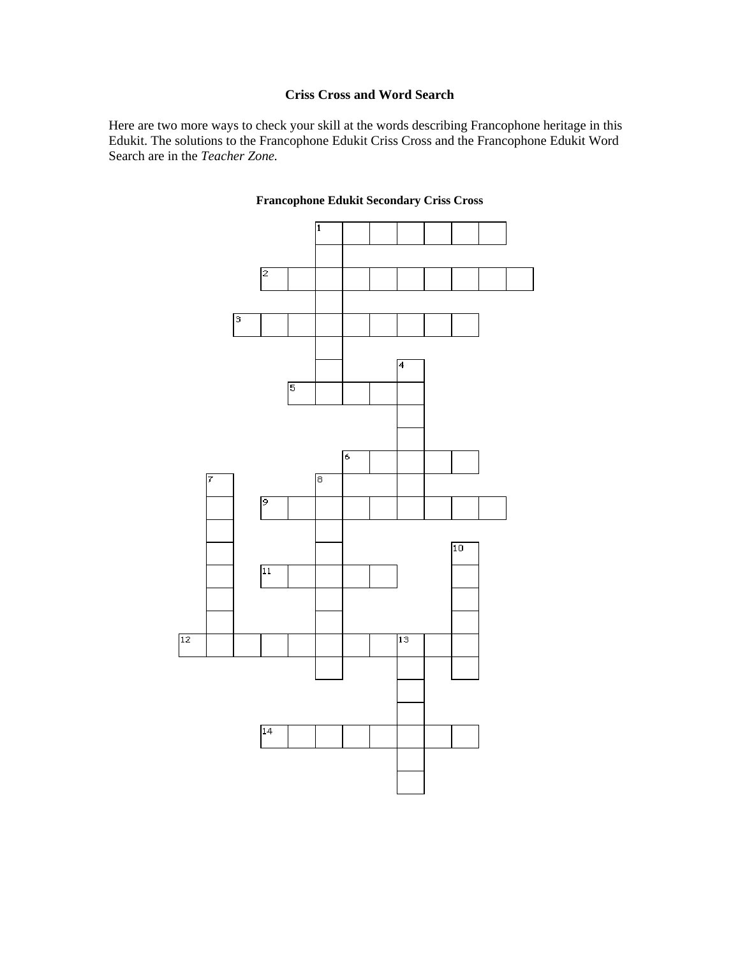## **Criss Cross and Word Search**

Here are two more ways to check your skill at the words describing Francophone heritage in this Edukit. The solutions to the Francophone Edukit Criss Cross and the Francophone Edukit Word Search are in the *Teacher Zone.*



## **Francophone Edukit Secondary Criss Cross**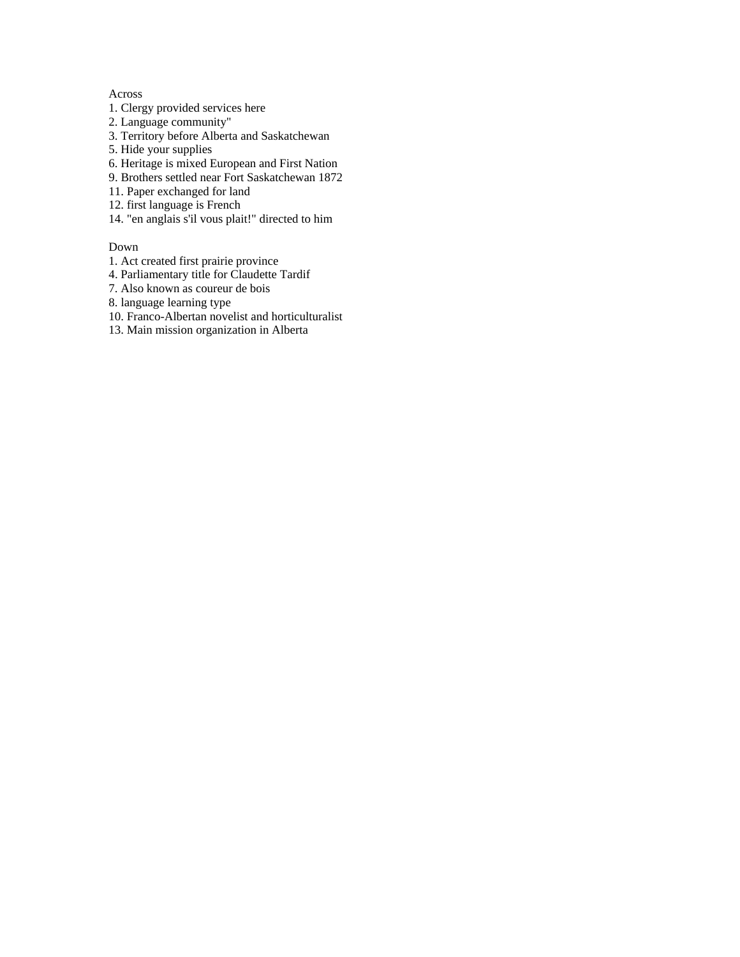## Across

- 1. Clergy provided services here
- 2. Language community"
- 3. Territory before Alberta and Saskatchewan
- 5. Hide your supplies
- 6. Heritage is mixed European and First Nation
- 9. Brothers settled near Fort Saskatchewan 1872
- 11. Paper exchanged for land
- 12. first language is French
- 14. "en anglais s'il vous plait!" directed to him

## Down

- 1. Act created first prairie province
- 4. Parliamentary title for Claudette Tardif
- 7. Also known as coureur de bois
- 8. language learning type
- 10. Franco-Albertan novelist and horticulturalist
- 13. Main mission organization in Alberta